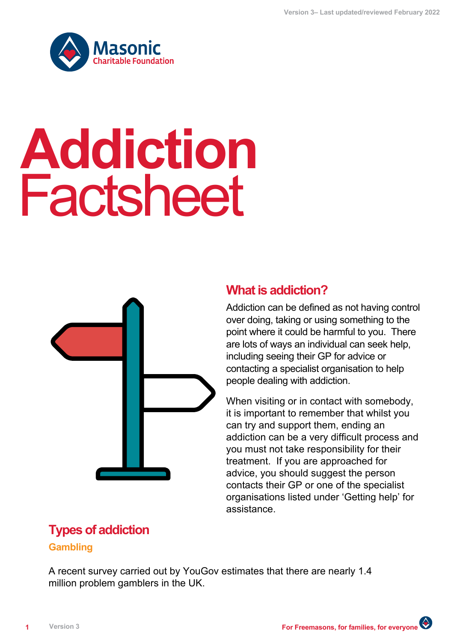

# **Addiction** Factsheet



## **What is addiction?**

Addiction can be defined as not having control over doing, taking or using something to the point where it could be harmful to you. There are lots of ways an individual can seek help, including seeing their GP for advice or contacting a specialist organisation to help people dealing with addiction.

When visiting or in contact with somebody, it is important to remember that whilst you can try and support them, ending an addiction can be a very difficult process and you must not take responsibility for their treatment. If you are approached for advice, you should suggest the person contacts their GP or one of the specialist organisations listed under 'Getting help' for assistance.

## **Types of addiction Gambling**

A recent survey carried out by YouGov estimates that there are nearly 1.4 million problem gamblers in the UK.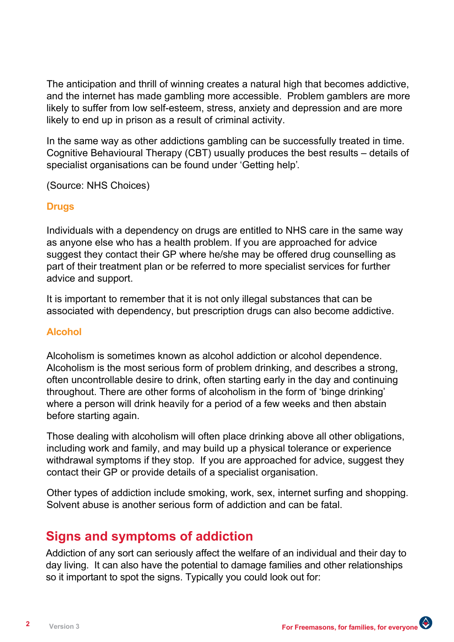The anticipation and thrill of winning creates a natural high that becomes addictive, and the internet has made gambling more accessible. Problem gamblers are more likely to suffer from low self-esteem, stress, anxiety and depression and are more likely to end up in prison as a result of criminal activity.

In the same way as other addictions gambling can be successfully treated in time. Cognitive Behavioural Therapy (CBT) usually produces the best results – details of specialist organisations can be found under 'Getting help'.

(Source: NHS Choices)

#### **Drugs**

Individuals with a dependency on drugs are entitled to NHS care in the same way as anyone else who has a health problem. If you are approached for advice suggest they contact their GP where he/she may be offered drug counselling as part of their treatment plan or be referred to more specialist services for further advice and support.

It is important to remember that it is not only illegal substances that can be associated with dependency, but prescription drugs can also become addictive.

## **Alcohol**

Alcoholism is sometimes known as alcohol addiction or alcohol dependence. Alcoholism is the most serious form of problem drinking, and describes a strong, often uncontrollable desire to drink, often starting early in the day and continuing throughout. There are other forms of alcoholism in the form of 'binge drinking' where a person will drink heavily for a period of a few weeks and then abstain before starting again.

Those dealing with alcoholism will often place drinking above all other obligations, including work and family, and may build up a physical tolerance or experience withdrawal symptoms if they stop. If you are approached for advice, suggest they contact their GP or provide details of a specialist organisation.

Other types of addiction include smoking, work, sex, internet surfing and shopping. , Solvent abuse is another serious form of addiction and can be fatal.

## **Signs and symptoms of addiction**

Addiction of any sort can seriously affect the welfare of an individual and their day to day living. It can also have the potential to damage families and other relationships so it important to spot the signs. Typically you could look out for: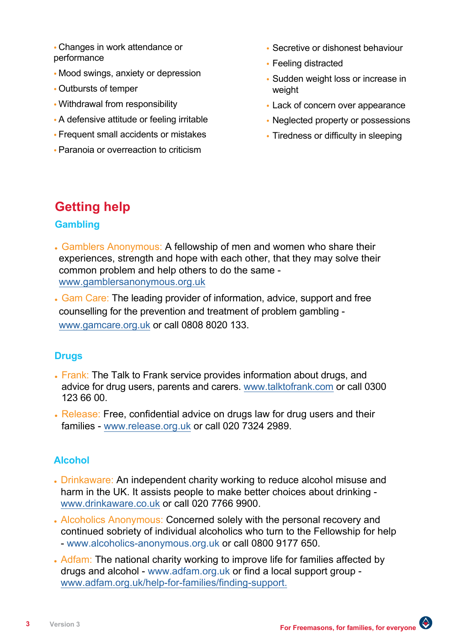- **•** Changes in work attendance or performance
- **•** Mood swings, anxiety or depression
- **•** Outbursts of temper
- **•** Withdrawal from responsibility
- **•** A defensive attitude or feeling irritable
- **•** Frequent small accidents or mistakes
- **•** Paranoia or overreaction to criticism
- **•** Secretive or dishonest behaviour
- **•** Feeling distracted
- **•** Sudden weight loss or increase in weight
- **•** Lack of concern over appearance
- **•** Neglected property or possessions
- **•** Tiredness or difficulty in sleeping

# **Getting help**

### **[Gambling](www.release.org.uk)**

- **●** Gamblers Anonymous: A fellowship of men and women who share their experiences, strength and hope with each other, that they may solve their common problem and help others to do the same <www.gamblersanonymous.org.uk>
- **●** Gam Care: The leading provider of information, advice, support and free counselling for the prevention and treatment of problem gambling www.gamcare.org.uk or call 0808 8020 133.

## **Drugs**

- **●** Frank: The Talk to Frank service provides information about drugs, and advice for drug users, parents and carers. www.talktofrank.com or call 0300 123 66 00.
- **●** Release: Free, confidential advice on drugs law for drug users and their families - www.release.org.uk or call 020 7324 2989.

## **Alcohol**

- **●** Drinkaware: An independent charity working to reduce alcohol misuse and harm in the [UK. It assists people to make better choices about drinking](www.drinkaware.co.uk)  www.drinkaware.co.uk or call 020 7766 9900.
- **●** Alcoholics Anonymous: Concerned solely with the personal recovery and continued [sobriety of individual alcoholics w](www.adfam.org.uk/families/findalocalsupportgroup)ho turn to the Fellowship for help - www.alcoholics-anonymous.org.uk or call 0800 9177 650.
- **●** Adfam: The national charity workin[g to improve life f](www.mcf.org.uk)or families affected by drugs and alcohol - www.adfam.org.uk or find a local support group www.adfam.org.uk/help-for-families/finding-support.